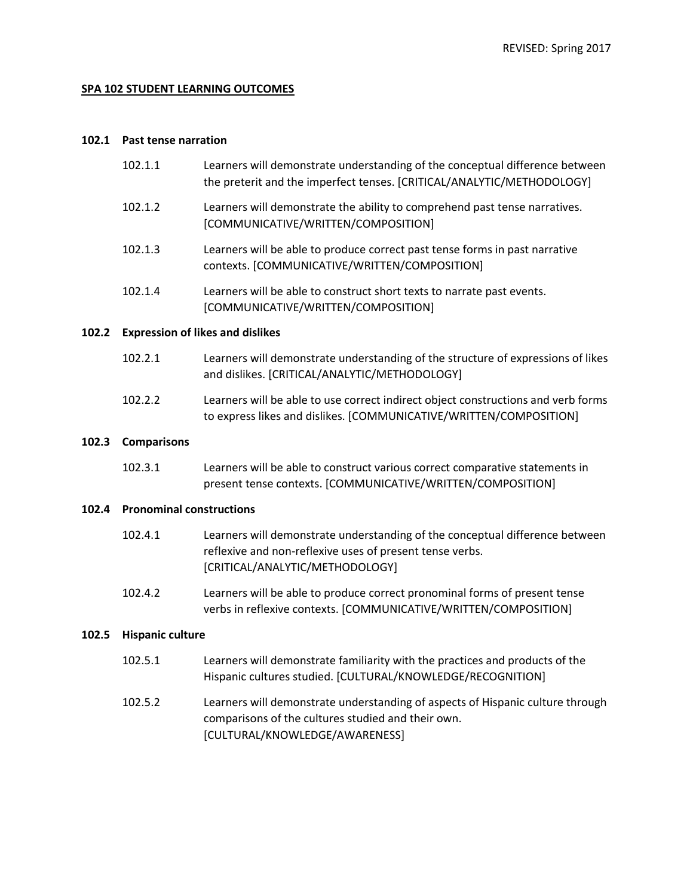## **SPA 102 STUDENT LEARNING OUTCOMES**

### **102.1 Past tense narration**

| 102.1.1 | Learners will demonstrate understanding of the conceptual difference between<br>the preterit and the imperfect tenses. [CRITICAL/ANALYTIC/METHODOLOGY] |
|---------|--------------------------------------------------------------------------------------------------------------------------------------------------------|
| 102.1.2 | Learners will demonstrate the ability to comprehend past tense narratives.<br>[COMMUNICATIVE/WRITTEN/COMPOSITION]                                      |
| 102.1.3 | Learners will be able to produce correct past tense forms in past narrative<br>contexts. [COMMUNICATIVE/WRITTEN/COMPOSITION]                           |
| 102.1.4 | Learners will be able to construct short texts to narrate past events.<br>[COMMUNICATIVE/WRITTEN/COMPOSITION]                                          |
|         |                                                                                                                                                        |

## **102.2 Expression of likes and dislikes**

| 102.2.1              | Learners will demonstrate understanding of the structure of expressions of likes |
|----------------------|----------------------------------------------------------------------------------|
|                      | and dislikes. [CRITICAL/ANALYTIC/METHODOLOGY]                                    |
| $\sim$ $\sim$ $\sim$ |                                                                                  |

102.2.2 Learners will be able to use correct indirect object constructions and verb forms to express likes and dislikes. [COMMUNICATIVE/WRITTEN/COMPOSITION]

### **102.3 Comparisons**

102.3.1 Learners will be able to construct various correct comparative statements in present tense contexts. [COMMUNICATIVE/WRITTEN/COMPOSITION]

## **102.4 Pronominal constructions**

- 102.4.1 Learners will demonstrate understanding of the conceptual difference between reflexive and non-reflexive uses of present tense verbs. [CRITICAL/ANALYTIC/METHODOLOGY]
- 102.4.2 Learners will be able to produce correct pronominal forms of present tense verbs in reflexive contexts. [COMMUNICATIVE/WRITTEN/COMPOSITION]

# **102.5 Hispanic culture**

- 102.5.1 Learners will demonstrate familiarity with the practices and products of the Hispanic cultures studied. [CULTURAL/KNOWLEDGE/RECOGNITION]
- 102.5.2 Learners will demonstrate understanding of aspects of Hispanic culture through comparisons of the cultures studied and their own. [CULTURAL/KNOWLEDGE/AWARENESS]